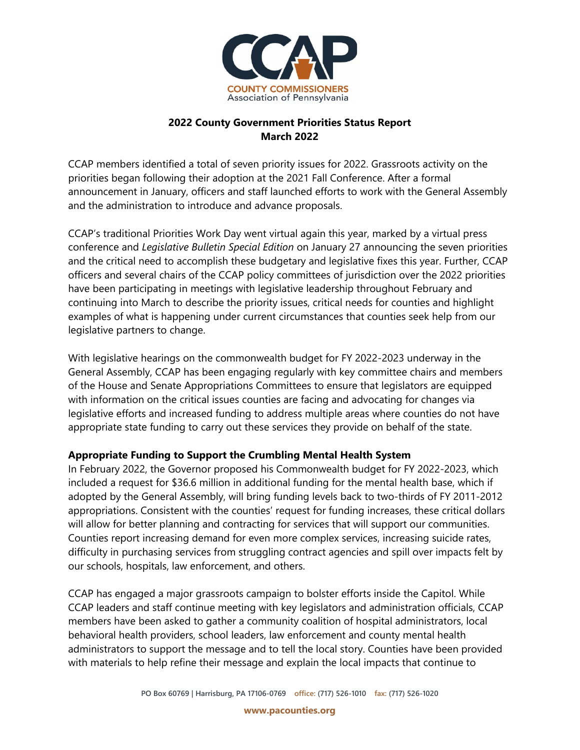

## **2022 County Government Priorities Status Report March 2022**

CCAP members identified a total of seven priority issues for 2022. Grassroots activity on the priorities began following their adoption at the 2021 Fall Conference. After a formal announcement in January, officers and staff launched efforts to work with the General Assembly and the administration to introduce and advance proposals.

CCAP's traditional Priorities Work Day went virtual again this year, marked by a virtual press conference and *Legislative Bulletin Special Edition* on January 27 announcing the seven priorities and the critical need to accomplish these budgetary and legislative fixes this year. Further, CCAP officers and several chairs of the CCAP policy committees of jurisdiction over the 2022 priorities have been participating in meetings with legislative leadership throughout February and continuing into March to describe the priority issues, critical needs for counties and highlight examples of what is happening under current circumstances that counties seek help from our legislative partners to change.

With legislative hearings on the commonwealth budget for FY 2022-2023 underway in the General Assembly, CCAP has been engaging regularly with key committee chairs and members of the House and Senate Appropriations Committees to ensure that legislators are equipped with information on the critical issues counties are facing and advocating for changes via legislative efforts and increased funding to address multiple areas where counties do not have appropriate state funding to carry out these services they provide on behalf of the state.

# **Appropriate Funding to Support the Crumbling Mental Health System**

In February 2022, the Governor proposed his Commonwealth budget for FY 2022-2023, which included a request for \$36.6 million in additional funding for the mental health base, which if adopted by the General Assembly, will bring funding levels back to two-thirds of FY 2011-2012 appropriations. Consistent with the counties' request for funding increases, these critical dollars will allow for better planning and contracting for services that will support our communities. Counties report increasing demand for even more complex services, increasing suicide rates, difficulty in purchasing services from struggling contract agencies and spill over impacts felt by our schools, hospitals, law enforcement, and others.

CCAP has engaged a major grassroots campaign to bolster efforts inside the Capitol. While CCAP leaders and staff continue meeting with key legislators and administration officials, CCAP members have been asked to gather a community coalition of hospital administrators, local behavioral health providers, school leaders, law enforcement and county mental health administrators to support the message and to tell the local story. Counties have been provided with materials to help refine their message and explain the local impacts that continue to

**www.pacounties.org**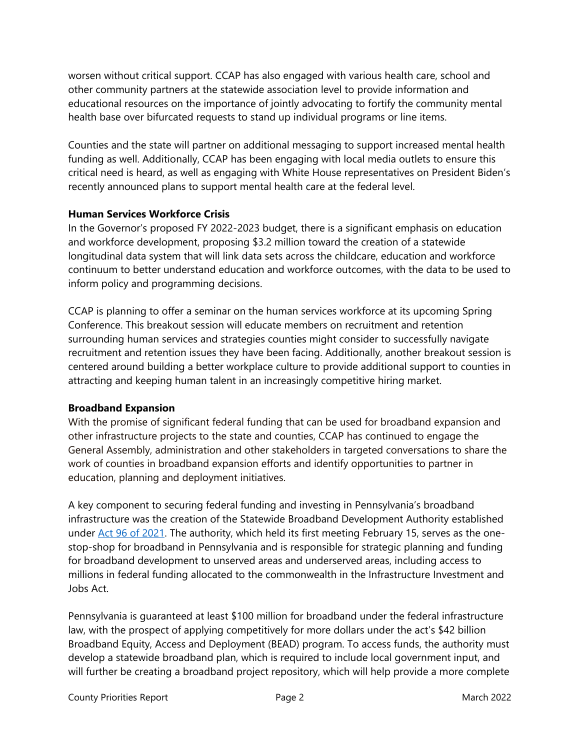worsen without critical support. CCAP has also engaged with various health care, school and other community partners at the statewide association level to provide information and educational resources on the importance of jointly advocating to fortify the community mental health base over bifurcated requests to stand up individual programs or line items.

Counties and the state will partner on additional messaging to support increased mental health funding as well. Additionally, CCAP has been engaging with local media outlets to ensure this critical need is heard, as well as engaging with White House representatives on President Biden's recently announced plans to support mental health care at the federal level.

### **Human Services Workforce Crisis**

In the Governor's proposed FY 2022-2023 budget, there is a significant emphasis on education and workforce development, proposing \$3.2 million toward the creation of a statewide longitudinal data system that will link data sets across the childcare, education and workforce continuum to better understand education and workforce outcomes, with the data to be used to inform policy and programming decisions.

CCAP is planning to offer a seminar on the human services workforce at its upcoming Spring Conference. This breakout session will educate members on recruitment and retention surrounding human services and strategies counties might consider to successfully navigate recruitment and retention issues they have been facing. Additionally, another breakout session is centered around building a better workplace culture to provide additional support to counties in attracting and keeping human talent in an increasingly competitive hiring market.

# **Broadband Expansion**

With the promise of significant federal funding that can be used for broadband expansion and other infrastructure projects to the state and counties, CCAP has continued to engage the General Assembly, administration and other stakeholders in targeted conversations to share the work of counties in broadband expansion efforts and identify opportunities to partner in education, planning and deployment initiatives.

A key component to securing federal funding and investing in Pennsylvania's broadband infrastructure was the creation of the Statewide Broadband Development Authority established under [Act 96 of 2021.](https://www.legis.state.pa.us/cfdocs/billInfo/billInfo.cfm?sYear=2021&sInd=0&body=H&type=B&bn=2071) The authority, which held its first meeting February 15, serves as the onestop-shop for broadband in Pennsylvania and is responsible for strategic planning and funding for broadband development to unserved areas and underserved areas, including access to millions in federal funding allocated to the commonwealth in the Infrastructure Investment and Jobs Act.

Pennsylvania is guaranteed at least \$100 million for broadband under the federal infrastructure law, with the prospect of applying competitively for more dollars under the act's \$42 billion Broadband Equity, Access and Deployment (BEAD) program. To access funds, the authority must develop a statewide broadband plan, which is required to include local government input, and will further be creating a broadband project repository, which will help provide a more complete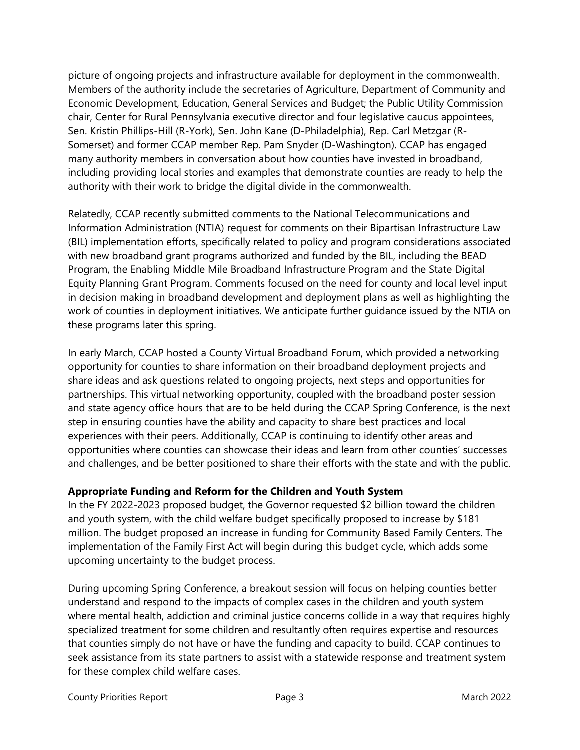picture of ongoing projects and infrastructure available for deployment in the commonwealth. Members of the authority include the secretaries of Agriculture, Department of Community and Economic Development, Education, General Services and Budget; the Public Utility Commission chair, Center for Rural Pennsylvania executive director and four legislative caucus appointees, Sen. Kristin Phillips-Hill (R-York), Sen. John Kane (D-Philadelphia), Rep. Carl Metzgar (R-Somerset) and former CCAP member Rep. Pam Snyder (D-Washington). CCAP has engaged many authority members in conversation about how counties have invested in broadband, including providing local stories and examples that demonstrate counties are ready to help the authority with their work to bridge the digital divide in the commonwealth.

Relatedly, CCAP recently submitted comments to the National Telecommunications and Information Administration (NTIA) request for comments on their Bipartisan Infrastructure Law (BIL) implementation efforts, specifically related to policy and program considerations associated with new broadband grant programs authorized and funded by the BIL, including the BEAD Program, the Enabling Middle Mile Broadband Infrastructure Program and the State Digital Equity Planning Grant Program. Comments focused on the need for county and local level input in decision making in broadband development and deployment plans as well as highlighting the work of counties in deployment initiatives. We anticipate further guidance issued by the NTIA on these programs later this spring.

In early March, CCAP hosted a County Virtual Broadband Forum, which provided a networking opportunity for counties to share information on their broadband deployment projects and share ideas and ask questions related to ongoing projects, next steps and opportunities for partnerships. This virtual networking opportunity, coupled with the broadband poster session and state agency office hours that are to be held during the CCAP Spring Conference, is the next step in ensuring counties have the ability and capacity to share best practices and local experiences with their peers. Additionally, CCAP is continuing to identify other areas and opportunities where counties can showcase their ideas and learn from other counties' successes and challenges, and be better positioned to share their efforts with the state and with the public.

# **Appropriate Funding and Reform for the Children and Youth System**

In the FY 2022-2023 proposed budget, the Governor requested \$2 billion toward the children and youth system, with the child welfare budget specifically proposed to increase by \$181 million. The budget proposed an increase in funding for Community Based Family Centers. The implementation of the Family First Act will begin during this budget cycle, which adds some upcoming uncertainty to the budget process.

During upcoming Spring Conference, a breakout session will focus on helping counties better understand and respond to the impacts of complex cases in the children and youth system where mental health, addiction and criminal justice concerns collide in a way that requires highly specialized treatment for some children and resultantly often requires expertise and resources that counties simply do not have or have the funding and capacity to build. CCAP continues to seek assistance from its state partners to assist with a statewide response and treatment system for these complex child welfare cases.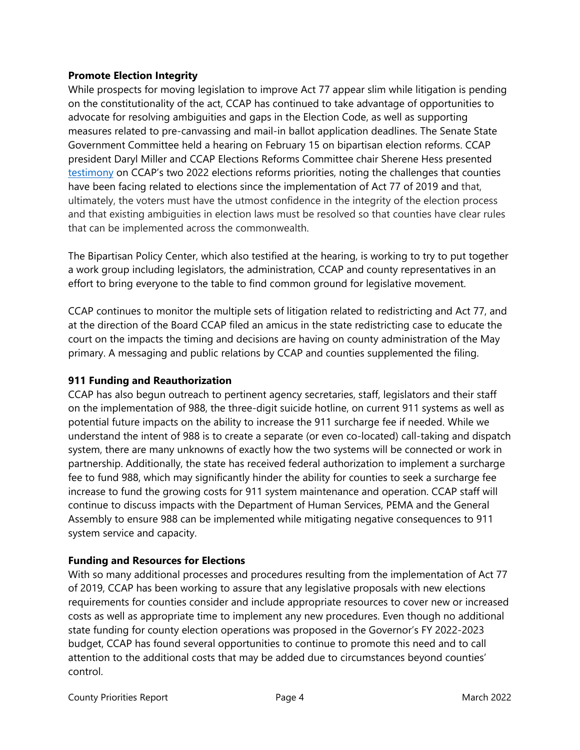### **Promote Election Integrity**

While prospects for moving legislation to improve Act 77 appear slim while litigation is pending on the constitutionality of the act, CCAP has continued to take advantage of opportunities to advocate for resolving ambiguities and gaps in the Election Code, as well as supporting measures related to pre-canvassing and mail-in ballot application deadlines. The Senate State Government Committee held a hearing on February 15 on bipartisan election reforms. CCAP president Daryl Miller and CCAP Elections Reforms Committee chair Sherene Hess presented [testimony](https://www.pacounties.org/getmedia/e1d440b1-8393-4b79-9eb5-7b8e24c2ba7f/20220215ElectionsTestimonySenateISG.pdf) on CCAP's two 2022 elections reforms priorities, noting the challenges that counties have been facing related to elections since the implementation of Act 77 of 2019 and that, ultimately, the voters must have the utmost confidence in the integrity of the election process and that existing ambiguities in election laws must be resolved so that counties have clear rules that can be implemented across the commonwealth.

The Bipartisan Policy Center, which also testified at the hearing, is working to try to put together a work group including legislators, the administration, CCAP and county representatives in an effort to bring everyone to the table to find common ground for legislative movement.

CCAP continues to monitor the multiple sets of litigation related to redistricting and Act 77, and at the direction of the Board CCAP filed an amicus in the state redistricting case to educate the court on the impacts the timing and decisions are having on county administration of the May primary. A messaging and public relations by CCAP and counties supplemented the filing.

## **911 Funding and Reauthorization**

CCAP has also begun outreach to pertinent agency secretaries, staff, legislators and their staff on the implementation of 988, the three-digit suicide hotline, on current 911 systems as well as potential future impacts on the ability to increase the 911 surcharge fee if needed. While we understand the intent of 988 is to create a separate (or even co-located) call-taking and dispatch system, there are many unknowns of exactly how the two systems will be connected or work in partnership. Additionally, the state has received federal authorization to implement a surcharge fee to fund 988, which may significantly hinder the ability for counties to seek a surcharge fee increase to fund the growing costs for 911 system maintenance and operation. CCAP staff will continue to discuss impacts with the Department of Human Services, PEMA and the General Assembly to ensure 988 can be implemented while mitigating negative consequences to 911 system service and capacity.

#### **Funding and Resources for Elections**

With so many additional processes and procedures resulting from the implementation of Act 77 of 2019, CCAP has been working to assure that any legislative proposals with new elections requirements for counties consider and include appropriate resources to cover new or increased costs as well as appropriate time to implement any new procedures. Even though no additional state funding for county election operations was proposed in the Governor's FY 2022-2023 budget, CCAP has found several opportunities to continue to promote this need and to call attention to the additional costs that may be added due to circumstances beyond counties' control.